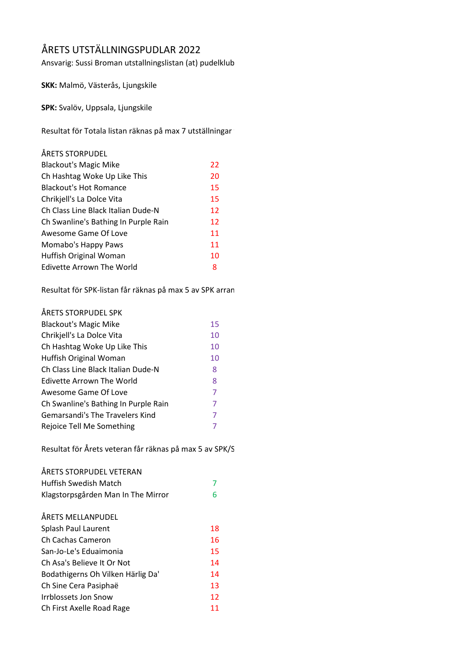## ÅRETS UTSTÄLLNINGSPUDLAR 2022

Ansvarig: Sussi Broman utstallningslistan (at) pudelklub

**SKK:** Malmö, Västerås, Ljungskile

**SPK:** Svalöv, Uppsala, Ljungskile

Resultat för Totala listan räknas på max 7 utställningar vara

| ÅRETS STORPUDEL                      |    |
|--------------------------------------|----|
| <b>Blackout's Magic Mike</b>         | 22 |
| Ch Hashtag Woke Up Like This         | 20 |
| <b>Blackout's Hot Romance</b>        | 15 |
| Chrikjell's La Dolce Vita            | 15 |
| Ch Class Line Black Italian Dude-N   | 12 |
| Ch Swanline's Bathing In Purple Rain | 12 |
| Awesome Game Of Love                 | 11 |
| Momabo's Happy Paws                  | 11 |
| Huffish Original Woman               | 10 |
| Edivette Arrown The World            | 8  |

Resultat för SPK-listan får räknas på max 5 av SPK arran

| ÅRETS STORPUDEL SPK                  |    |
|--------------------------------------|----|
| <b>Blackout's Magic Mike</b>         | 15 |
| Chrikjell's La Dolce Vita            | 10 |
| Ch Hashtag Woke Up Like This         | 10 |
| Huffish Original Woman               | 10 |
| Ch Class Line Black Italian Dude-N   | 8  |
| Edivette Arrown The World            | 8  |
| Awesome Game Of Love                 | 7  |
| Ch Swanline's Bathing In Purple Rain | 7  |
| Gemarsandi's The Travelers Kind      | 7  |
| Rejoice Tell Me Something            | 7  |

Resultat för Årets veteran får räknas på max 5 av SPK/S

| ÅRETS STORPUDEL VETERAN            |    |
|------------------------------------|----|
| Huffish Swedish Match              | 7  |
| Klagstorpsgården Man In The Mirror | 6  |
|                                    |    |
| ÅRETS MELLANPUDEL                  |    |
| Splash Paul Laurent                | 18 |
| Ch Cachas Cameron                  | 16 |
| San-Jo-Le's Eduaimonia             | 15 |
| Ch Asa's Believe It Or Not         | 14 |
| Bodathigerns Oh Vilken Härlig Da'  | 14 |
| Ch Sine Cera Pasiphaë              | 13 |
| <b>Irrblossets Jon Snow</b>        | 12 |
| Ch First Axelle Road Rage          | 11 |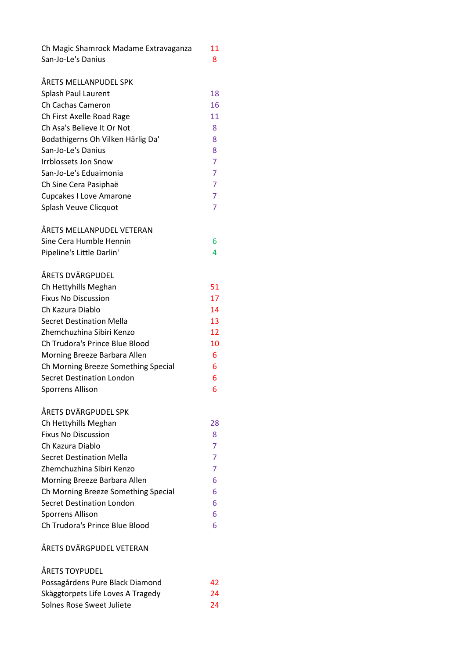| Ch Magic Shamrock Madame Extravaganza | 11             |
|---------------------------------------|----------------|
| San-Jo-Le's Danius                    | 8              |
|                                       |                |
| ÅRETS MELLANPUDEL SPK                 |                |
| Splash Paul Laurent                   | 18             |
| <b>Ch Cachas Cameron</b>              | 16             |
| Ch First Axelle Road Rage             | 11             |
| Ch Asa's Believe It Or Not            | 8              |
| Bodathigerns Oh Vilken Härlig Da'     | 8              |
| San-Jo-Le's Danius                    | 8              |
| <b>Irrblossets Jon Snow</b>           | $\overline{7}$ |
| San-Jo-Le's Eduaimonia                | $\overline{7}$ |
| Ch Sine Cera Pasiphaë                 | 7              |
| <b>Cupcakes I Love Amarone</b>        | 7              |
| Splash Veuve Clicquot                 | 7              |
|                                       |                |
| ÅRETS MELLANPUDEL VETERAN             |                |
| Sine Cera Humble Hennin               | 6              |
| Pipeline's Little Darlin'             | 4              |
|                                       |                |
| ÅRETS DVÄRGPUDEL                      |                |
| Ch Hettyhills Meghan                  | 51             |
| <b>Fixus No Discussion</b>            | 17             |
| Ch Kazura Diablo                      | 14             |
| <b>Secret Destination Mella</b>       | 13             |
| Zhemchuzhina Sibiri Kenzo             | 12             |
| Ch Trudora's Prince Blue Blood        | 10             |
| Morning Breeze Barbara Allen          | 6              |
| Ch Morning Breeze Something Special   | 6              |
| <b>Secret Destination London</b>      | 6              |
| <b>Sporrens Allison</b>               | 6              |
|                                       |                |
| ÅRETS DVÄRGPUDEL SPK                  |                |
| Ch Hettyhills Meghan                  | 28             |
| <b>Fixus No Discussion</b>            | 8              |
| Ch Kazura Diablo                      | 7              |
| <b>Secret Destination Mella</b>       | $\overline{7}$ |
| Zhemchuzhina Sibiri Kenzo             | 7              |
| Morning Breeze Barbara Allen          | 6              |
| Ch Morning Breeze Something Special   | 6              |
| <b>Secret Destination London</b>      | 6              |
| <b>Sporrens Allison</b>               | 6              |
| Ch Trudora's Prince Blue Blood        | 6              |
| ÅRETS DVÄRGPUDEL VETERAN              |                |
| ÅRETS TOYPUDEL                        |                |

| Possagårdens Pure Black Diamond   | 42 |
|-----------------------------------|----|
| Skäggtorpets Life Loves A Tragedy | 24 |
| Solnes Rose Sweet Juliete         | 24 |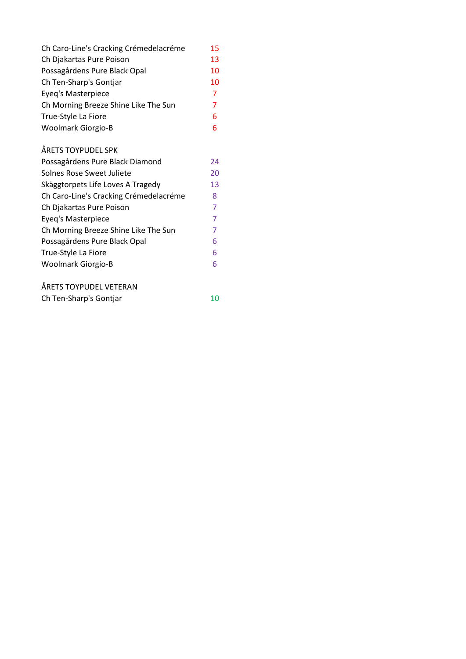| Ch Caro-Line's Cracking Crémedelacréme | 15 |
|----------------------------------------|----|
| Ch Djakartas Pure Poison               | 13 |
| Possagårdens Pure Black Opal           | 10 |
| Ch Ten-Sharp's Gontjar                 | 10 |
| Eyeq's Masterpiece                     | 7  |
| Ch Morning Breeze Shine Like The Sun   | 7  |
| True-Style La Fiore                    | 6  |
| <b>Woolmark Giorgio-B</b>              | 6  |
|                                        |    |

## ÅRETS TOYPUDEL SPK

| Possagårdens Pure Black Diamond        | 24 |
|----------------------------------------|----|
| Solnes Rose Sweet Juliete              | 20 |
| Skäggtorpets Life Loves A Tragedy      | 13 |
| Ch Caro-Line's Cracking Crémedelacréme | 8  |
| Ch Djakartas Pure Poison               | 7  |
| Eyeq's Masterpiece                     | 7  |
| Ch Morning Breeze Shine Like The Sun   |    |
| Possagårdens Pure Black Opal           | 6  |
| True-Style La Fiore                    | 6  |
| Woolmark Giorgio-B                     | 6  |
|                                        |    |

| ÅRETS TOYPUDEL VETERAN |    |
|------------------------|----|
| Ch Ten-Sharp's Gontjar | 10 |